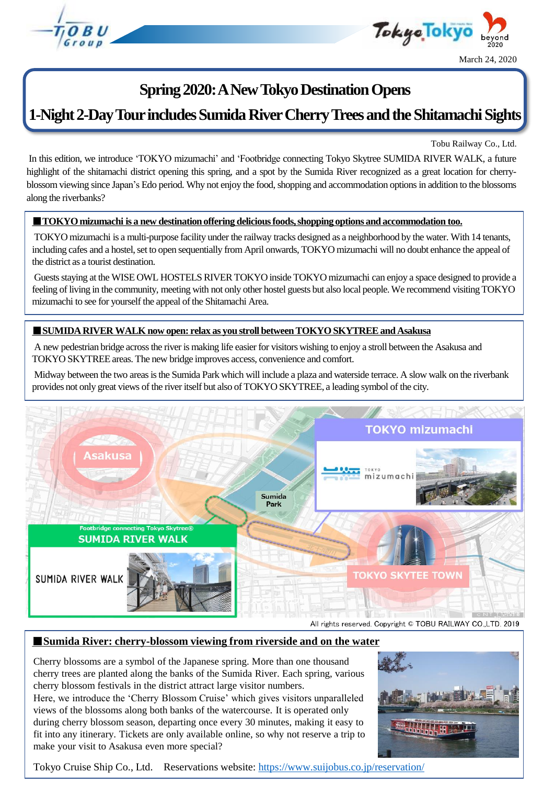



## **Spring 2020: A New Tokyo Destination Opens**

# **1-Night 2-Day Tour includes Sumida River Cherry Trees and the Shitamachi Sights**

Tobu Railway Co., Ltd.

In this edition, we introduce 'TOKYO mizumachi' and 'Footbridge connecting Tokyo Skytree SUMIDA RIVER WALK, a future highlight of the shitamachi district opening this spring, and a spot by the Sumida River recognized as a great location for cherryblossom viewing since Japan's Edo period. Why not enjoy the food, shopping and accommodation options in addition to the blossoms along the riverbanks?

## ■**TOKYO mizumachi is a new destination offering delicious foods, shopping options and accommodation too.**

TOKYO mizumachi is a multi-purpose facility under the railway tracks designed as a neighborhood by the water. With 14 tenants, including cafes and a hostel, set to open sequentially from April onwards, TOKYO mizumachi will no doubt enhance the appeal of the district as a tourist destination.

Guests staying at the WISE OWL HOSTELS RIVER TOKYO inside TOKYO mizumachi can enjoy a space designed to provide a feeling of living in the community, meeting with not only other hostel guests but also local people.We recommend visiting TOKYO mizumachi to see for yourself the appeal of the Shitamachi Area.

## ■**SUMIDA RIVER WALK now open: relax as you stroll between TOKYO SKYTREE and Asakusa**

A new pedestrian bridge across the river is making life easier for visitors wishing to enjoy a stroll between the Asakusa and TOKYO SKYTREE areas. The new bridge improves access, convenience and comfort.

Midway between the two areas is the Sumida Park which will include a plaza and waterside terrace. A slow walk on the riverbank provides not only great views of the river itself but also of TOKYO SKYTREE, a leading symbol of the city.



All rights reserved. Copyright © TOBU RAILWAY CO.,LTD. 2019

## ■ **Sumida River: cherry-blossom viewing from riverside and on the water**

Cherry blossoms are a symbol of the Japanese spring. More than one thousand cherry trees are planted along the banks of the Sumida River. Each spring, various cherry blossom festivals in the district attract large visitor numbers.

Here, we introduce the 'Cherry Blossom Cruise' which gives visitors unparalleled views of the blossoms along both banks of the watercourse. It is operated only during cherry blossom season, departing once every 30 minutes, making it easy to fit into any itinerary. Tickets are only available online, so why not reserve a trip to make your visit to Asakusa even more special?



Tokyo Cruise Ship Co., Ltd. Reservations website:<https://www.suijobus.co.jp/reservation/>